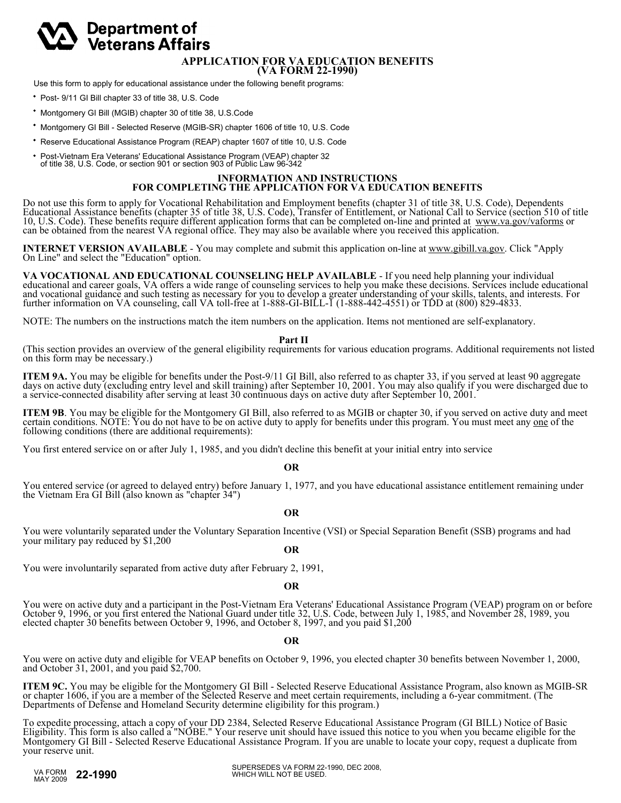# Department of **Veterans Affairs**

#### **APPLICATION FOR VA EDUCATION BENEFITS (VA FORM 22-1990)**

Use this form to apply for educational assistance under the following benefit programs:

- Post- 9/11 GI Bill chapter 33 of title 38, U.S. Code
- Montgomery GI Bill (MGIB) chapter 30 of title 38, U.S.Code
- Montgomery GI Bill Selected Reserve (MGIB-SR) chapter 1606 of title 10, U.S. Code
- Reserve Educational Assistance Program (REAP) chapter 1607 of title 10, U.S. Code
- Post-Vietnam Era Veterans' Educational Assistance Program (VEAP) chapter 32 of title 38, U.S. Code, or section 901 or section 903 of Public Law 96-342

### **INFORMATION AND INSTRUCTIONS FOR COMPLETING THE APPLICATION FOR VA EDUCATION BENEFITS**

Do not use this form to apply for Vocational Rehabilitation and Employment benefits (chapter 31 of title 38, U.S. Code), Dependents Educational Assistance benefits (chapter 35 of title 38, U.S. Code), Transfer of Entitlement, or National Call to Service (section 510 of title 10, U.S. Code). These benefits require different application forms that can be completed on-line and printed at www.va.gov/vaforms or can be obtained from the nearest VA regional office. They may also be available where you received this application.

**INTERNET VERSION AVAILABLE** - You may complete and submit this application on-line at <u>www.gibill.va.gov</u>. Click "Apply On Line" and select the "Education" option.

VA VOCATIONAL AND EDUCATIONAL COUNSELING HELP AVAILABLE - If you need help planning your individual<br>educational and career goals, VA offers a wide range of counseling services to help you make these decisions. Services inc and vocational guidance and such testing as necessary for you to develop a greater understanding of your skills, talents, and interests. For further information on VA counseling, call VA toll-free at 1-888-GI-BILL-1 (1-888-442-4551) or TDD at (800) 829-4833.

NOTE: The numbers on the instructions match the item numbers on the application. Items not mentioned are self-explanatory.

 **Part II** (This section provides an overview of the general eligibility requirements for various education programs. Additional requirements not listed on this form may be necessary.)

**ITEM 9A.** You may be eligible for benefits under the Post-9/11 GI Bill, also referred to as chapter 33, if you served at least 90 aggregate<br>days on active duty (excluding entry level and skill training) after September 10 a service-connected disability after serving at least 30 continuous days on active duty after September 10, 2001.

**ITEM 9B**. You may be eligible for the Montgomery GI Bill, also referred to as MGIB or chapter 30, if you served on active duty and meet certain conditions. NOTE: You do not have to be on active duty to apply for benefits following conditions (there are additional requirements):

You first entered service on or after July 1, 1985, and you didn't decline this benefit at your initial entry into service

**OR**

You entered service (or agreed to delayed entry) before January 1, 1977, and you have educational assistance entitlement remaining under the Vietnam Era GI Bill (also known as "chapter 34")

**OR**

You were voluntarily separated under the Voluntary Separation Incentive (VSI) or Special Separation Benefit (SSB) programs and had your military pay reduced by \$1,200

**OR**

You were involuntarily separated from active duty after February 2, 1991,

**OR**

You were on active duty and a participant in the Post-Vietnam Era Veterans' Educational Assistance Program (VEAP) program on or before October 9, 1996, or you first entered the National Guard under title 32, U.S. Code, between July 1, 1985, and November 28, 1989, you elected chapter 30 benefits between October 9, 1996, and October 8, 1997, and you paid \$1,200

## **OR**

You were on active duty and eligible for VEAP benefits on October 9, 1996, you elected chapter 30 benefits between November 1, 2000, and October 31, 2001, and you paid \$2,700.

**ITEM 9C.** You may be eligible for the Montgomery GI Bill - Selected Reserve Educational Assistance Program, also known as MGIB-SR or chapter 1606, if you are a member of the Selected Reserve and meet certain requirements, Departments of Defense and Homeland Security determine eligibility for this program.)

To expedite processing, attach a copy of your DD 2384, Selected Reserve Educational Assistance Program (GI BILL) Notice of Basic Eligibility. This form is also called a "NOBE." Your reserve unit should have issued this notice to you when you became eligible for the Montgomery GI Bill - Selected Reserve Educational Assistance Program. If you are unable to locate your copy, request a duplicate from your reserve unit.

MAY 2009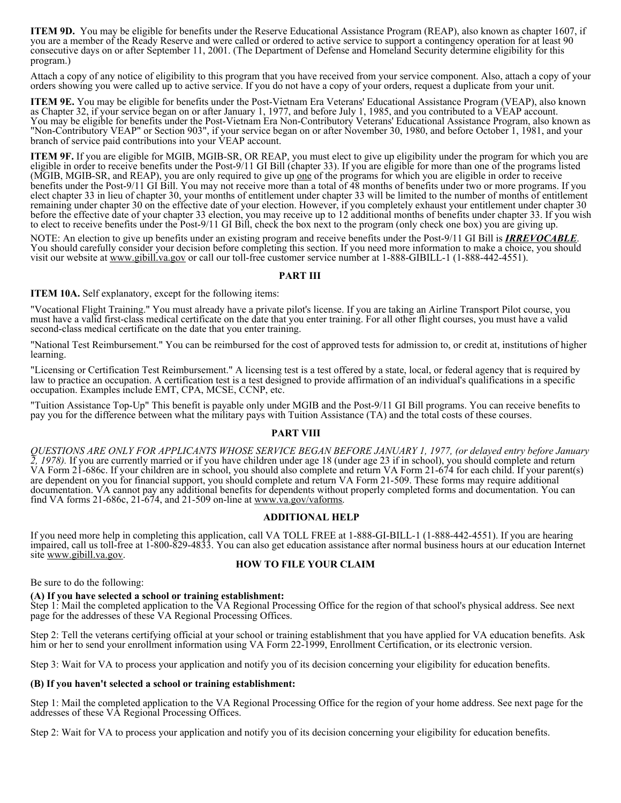**ITEM 9D.** You may be eligible for benefits under the Reserve Educational Assistance Program (REAP), also known as chapter 1607, if you are a member of the Ready Reserve and were called or ordered to active service to support a contingency operation for at least 90 consecutive days on or after September 11, 2001. (The Department of Defense and Homeland Security determine eligibility for this program.)

Attach a copy of any notice of eligibility to this program that you have received from your service component. Also, attach a copy of your orders showing you were called up to active service. If you do not have a copy of your orders, request a duplicate from your unit.

**ITEM 9E.** You may be eligible for benefits under the Post-Vietnam Era Veterans' Educational Assistance Program (VEAP), also known as Chapter 32, if your service began on or after January 1, 1977, and before July 1, 1985, and you contributed to a VEAP account. You may be eligible for benefits under the Post-Vietnam Era Non-Contributory Veterans' Educational Assistance Program, also known as "Non-Contributory VEAP" or Section 903", if your service began on or after November 30, 1980, and before October 1, 1981, and your branch of service paid contributions into your VEAP account.

**ITEM 9F.** If you are eligible for MGIB, MGIB-SR, OR REAP, you must elect to give up eligibility under the program for which you are eligible in order to receive benefits under the Post-9/11 GI Bill (chapter 33). If you are eligible for more than one of the programs listed (MGIB, MGIB-SR, and REAP), you are only required to give up one of the programs for which you are eligible in order to receive benefits under the Post-9/11 GI Bill. You may not receive more than a total of 48 months of benefits under two or more programs. If you elect chapter 33 in lieu of chapter 30, your months of entitlement under chapter 33 will be limited to the number of months of entitlement remaining under chapter 30 on the effective date of your election. However, if you completely exhaust your entitlement under chapter 30 before the effective date of your chapter 33 election, you may receive up to 12 additional months of benefits under chapter 33. If you wish to elect to receive benefits under the Post-9/11 GI Bill, check the box next to the program (only check one box) you are giving up.

NOTE: An election to give up benefits under an existing program and receive benefits under the Post-9/11 GI Bill is **IRREVOCABLE**.<br>You should carefully consider your decision before completing this section. If you need mor visit our website at www.gibill.va.gov or call our toll-free customer service number at 1-888-GIBILL-1 (1-888-442-4551).

### **PART III**

**ITEM 10A.** Self explanatory, except for the following items:

"Vocational Flight Training." You must already have a private pilot's license. If you are taking an Airline Transport Pilot course, you must have a valid first-class medical certificate on the date that you enter training. For all other flight courses, you must have a valid second-class medical certificate on the date that you enter training.

"National Test Reimbursement." You can be reimbursed for the cost of approved tests for admission to, or credit at, institutions of higher learning.

"Licensing or Certification Test Reimbursement." A licensing test is a test offered by a state, local, or federal agency that is required by law to practice an occupation. A certification test is a test designed to provide affirmation of an individual's qualifications in a specific occupation. Examples include EMT, CPA, MCSE, CCNP, etc.

"Tuition Assistance Top-Up" This benefit is payable only under MGIB and the Post-9/11 GI Bill programs. You can receive benefits to pay you for the difference between what the military pays with Tuition Assistance (TA) and the total costs of these courses.

### **PART VIII**

*QUESTIONS ARE ONLY FOR APPLICANTS WHOSE SERVICE BEGAN BEFORE JANUARY 1, 1977, (or delayed entry before January 2, 1978).* If you are currently married or if you have children under age 18 (under age 23 if in school), you should complete and return VA Form 21-686c. If your children are in school, you should also complete and return VA Form 21-674 for each child. If your parent(s) are dependent on you for financial support, you should complete and return VA Form 21-509. These forms may require additional documentation. VA cannot pay any additional benefits for dependents without properly completed forms and documentation. You can find VA forms 21-686c, 21-674, and 21-509 on-line at  $\underline{www.va.gov/vaforms}$ .

### **ADDITIONAL HELP**

If you need more help in completing this application, call VA TOLL FREE at 1-888-GI-BILL-1 (1-888-442-4551). If you are hearing impaired, call us toll-free at 1-800-829-4833. You can also get education assistance after normal business hours at our education Internet site www.gibill.va.gov.

### **HOW TO FILE YOUR CLAIM**

Be sure to do the following:

### **(A) If you have selected a school or training establishment:**

Step 1: Mail the completed application to the VA Regional Processing Office for the region of that school's physical address. See next page for the addresses of these VA Regional Processing Offices.

Step 2: Tell the veterans certifying official at your school or training establishment that you have applied for VA education benefits. Ask him or her to send your enrollment information using VA Form 22-1999, Enrollment Certification, or its electronic version.

Step 3: Wait for VA to process your application and notify you of its decision concerning your eligibility for education benefits.

### **(B) If you haven't selected a school or training establishment:**

Step 1: Mail the completed application to the VA Regional Processing Office for the region of your home address. See next page for the addresses of these VA Regional Processing Offices.

Step 2: Wait for VA to process your application and notify you of its decision concerning your eligibility for education benefits.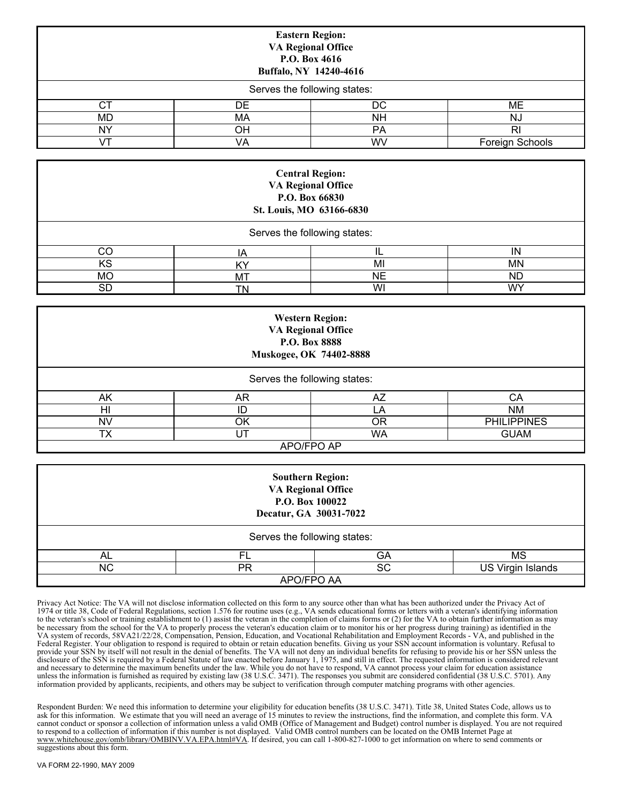| <b>Eastern Region:</b><br><b>VA Regional Office</b><br>P.O. Box 4616<br>Buffalo, NY 14240-4616 |                              |           |                 |  |  |  |  |
|------------------------------------------------------------------------------------------------|------------------------------|-----------|-----------------|--|--|--|--|
|                                                                                                | Serves the following states: |           |                 |  |  |  |  |
| CТ                                                                                             | DE                           | DC        | MЕ              |  |  |  |  |
| MD                                                                                             | МA                           | <b>NH</b> | NJ              |  |  |  |  |
| NY                                                                                             | OH                           | <b>PA</b> | <b>RI</b>       |  |  |  |  |
| ۰/Τ                                                                                            | VA                           | WV        | Foreign Schools |  |  |  |  |

| <b>Central Region:</b><br><b>VA Regional Office</b><br>P.O. Box 66830<br>St. Louis, MO 63166-6830 |    |    |           |  |  |  |  |
|---------------------------------------------------------------------------------------------------|----|----|-----------|--|--|--|--|
| Serves the following states:                                                                      |    |    |           |  |  |  |  |
| CО                                                                                                | ΙA | IL | IN        |  |  |  |  |
| KS                                                                                                | ΚY | MI | MN        |  |  |  |  |
| <b>MO</b>                                                                                         | МT | NE | <b>ND</b> |  |  |  |  |
| SD                                                                                                | TN | WI | WY        |  |  |  |  |

| <b>Western Region:</b><br><b>VA Regional Office</b><br>P.O. Box 8888<br>Muskogee, OK 74402-8888 |            |           |                    |  |  |  |  |
|-------------------------------------------------------------------------------------------------|------------|-----------|--------------------|--|--|--|--|
| Serves the following states:                                                                    |            |           |                    |  |  |  |  |
| AK                                                                                              | AR         | AZ        | СA                 |  |  |  |  |
| HI                                                                                              | ID         |           | <b>NM</b>          |  |  |  |  |
| NV                                                                                              | ΟK         | 0R        | <b>PHILIPPINES</b> |  |  |  |  |
| ТX                                                                                              | UT         | <b>WA</b> | <b>GUAM</b>        |  |  |  |  |
|                                                                                                 | APO/FPO AP |           |                    |  |  |  |  |

| <b>Southern Region:</b><br><b>VA Regional Office</b><br>P.O. Box 100022<br>Decatur, GA 30031-7022 |                              |    |                          |  |  |  |  |  |
|---------------------------------------------------------------------------------------------------|------------------------------|----|--------------------------|--|--|--|--|--|
|                                                                                                   | Serves the following states: |    |                          |  |  |  |  |  |
| AL                                                                                                | Fl                           | GA | MS                       |  |  |  |  |  |
| ΝC                                                                                                | PR                           | SC | <b>US Virgin Islands</b> |  |  |  |  |  |
| APO/FPO AA                                                                                        |                              |    |                          |  |  |  |  |  |

Privacy Act Notice: The VA will not disclose information collected on this form to any source other than what has been authorized under the Privacy Act of 1974 or title 38, Code of Federal Regulations, section 1.576 for routine uses (e.g., VA sends educational forms or letters with a veteran's identifying information to the veteran's school or training establishment to (1) assist the veteran in the completion of claims forms or (2) for the VA to obtain further information as may be necessary from the school for the VA to properly process the veteran's education claim or to monitor his or her progress during training) as identified in the VA system of records, 58VA21/22/28, Compensation, Pension, Education, and Vocational Rehabilitation and Employment Records - VA, and published in the Federal Register. Your obligation to respond is required to obtain or retain education benefits. Giving us your SSN account information is voluntary. Refusal to provide your SSN by itself will not result in the denial of benefits. The VA will not deny an individual benefits for refusing to provide his or her SSN unless the disclosure of the SSN is required by a Federal Statute of law enacted before January 1, 1975, and still in effect. The requested information is considered relevant and necessary to determine the maximum benefits under the law. While you do not have to respond, VA cannot process your claim for education assistance unless the information is furnished as required by existing law (38 U.S.C. 3471). The responses you submit are considered confidential (38 U.S.C. 5701). Any information provided by applicants, recipients, and others may be subject to verification through computer matching programs with other agencies.

Respondent Burden: We need this information to determine your eligibility for education benefits (38 U.S.C. 3471). Title 38, United States Code, allows us to ask for this information. We estimate that you will need an average of 15 minutes to review the instructions, find the information, and complete this form. VA cannot conduct or sponsor a collection of information unless a valid OMB (Office of Management and Budget) control number is displayed. You are not required to respond to a collection of information if this number is not displayed. Valid OMB control numbers can be located on the OMB Internet Page at www.whitehouse.gov/omb/library/OMBINV.VA.EPA.html#VA. If desired, you can call 1-800-827-1000 to get information on where to send comments or suggestions about this form.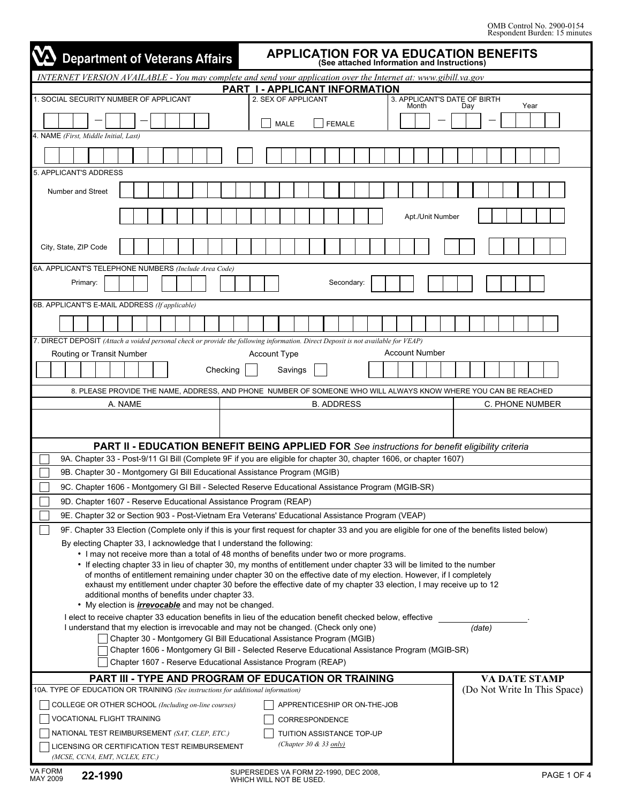| <b>APPLICATION FOR VA EDUCATION BENEFITS</b><br><b>Department of Veterans Affairs</b><br>(See attached Information and Instructions)                                   |                              |  |  |  |  |  |
|------------------------------------------------------------------------------------------------------------------------------------------------------------------------|------------------------------|--|--|--|--|--|
| INTERNET VERSION AVAILABLE - You may complete and send your application over the Internet at: www.gibill.va.gov                                                        |                              |  |  |  |  |  |
| PART I - APPLICANT INFORMATION                                                                                                                                         |                              |  |  |  |  |  |
| 1. SOCIAL SECURITY NUMBER OF APPLICANT<br>2. SEX OF APPLICANT<br>3. APPLICANT'S DATE OF BIRTH<br>Month                                                                 | Year<br>Dav                  |  |  |  |  |  |
| <b>MALE</b><br><b>FEMALE</b>                                                                                                                                           |                              |  |  |  |  |  |
| 4. NAME (First, Middle Initial, Last)                                                                                                                                  |                              |  |  |  |  |  |
|                                                                                                                                                                        |                              |  |  |  |  |  |
| 5. APPLICANT'S ADDRESS                                                                                                                                                 |                              |  |  |  |  |  |
| Number and Street                                                                                                                                                      |                              |  |  |  |  |  |
| Apt./Unit Number                                                                                                                                                       |                              |  |  |  |  |  |
| City, State, ZIP Code                                                                                                                                                  |                              |  |  |  |  |  |
| 6A. APPLICANT'S TELEPHONE NUMBERS (Include Area Code)                                                                                                                  |                              |  |  |  |  |  |
| Primary:<br>Secondary:                                                                                                                                                 |                              |  |  |  |  |  |
| 6B. APPLICANT'S E-MAIL ADDRESS (If applicable)                                                                                                                         |                              |  |  |  |  |  |
|                                                                                                                                                                        |                              |  |  |  |  |  |
| 7. DIRECT DEPOSIT (Attach a voided personal check or provide the following information. Direct Deposit is not available for VEAP)                                      |                              |  |  |  |  |  |
| <b>Account Number</b><br>Routing or Transit Number<br><b>Account Type</b>                                                                                              |                              |  |  |  |  |  |
| Savings<br>Checking                                                                                                                                                    |                              |  |  |  |  |  |
| 8. PLEASE PROVIDE THE NAME, ADDRESS, AND PHONE NUMBER OF SOMEONE WHO WILL ALWAYS KNOW WHERE YOU CAN BE REACHED                                                         |                              |  |  |  |  |  |
| A. NAME<br><b>B. ADDRESS</b>                                                                                                                                           | C. PHONE NUMBER              |  |  |  |  |  |
|                                                                                                                                                                        |                              |  |  |  |  |  |
| PART II - EDUCATION BENEFIT BEING APPLIED FOR See instructions for benefit eligibility criteria                                                                        |                              |  |  |  |  |  |
| 9A. Chapter 33 - Post-9/11 GI Bill (Complete 9F if you are eligible for chapter 30, chapter 1606, or chapter 1607)                                                     |                              |  |  |  |  |  |
| 9B. Chapter 30 - Montgomery GI Bill Educational Assistance Program (MGIB)                                                                                              |                              |  |  |  |  |  |
| 9C. Chapter 1606 - Montgomery GI Bill - Selected Reserve Educational Assistance Program (MGIB-SR)                                                                      |                              |  |  |  |  |  |
| 9D. Chapter 1607 - Reserve Educational Assistance Program (REAP)                                                                                                       |                              |  |  |  |  |  |
| 9E. Chapter 32 or Section 903 - Post-Vietnam Era Veterans' Educational Assistance Program (VEAP)                                                                       |                              |  |  |  |  |  |
| 9F. Chapter 33 Election (Complete only if this is your first request for chapter 33 and you are eligible for one of the benefits listed below)                         |                              |  |  |  |  |  |
| By electing Chapter 33, I acknowledge that I understand the following:<br>• I may not receive more than a total of 48 months of benefits under two or more programs.   |                              |  |  |  |  |  |
| • If electing chapter 33 in lieu of chapter 30, my months of entitlement under chapter 33 will be limited to the number                                                |                              |  |  |  |  |  |
| of months of entitlement remaining under chapter 30 on the effective date of my election. However, if I completely                                                     |                              |  |  |  |  |  |
| exhaust my entitlement under chapter 30 before the effective date of my chapter 33 election, I may receive up to 12<br>additional months of benefits under chapter 33. |                              |  |  |  |  |  |
| • My election is <i>irrevocable</i> and may not be changed.                                                                                                            |                              |  |  |  |  |  |
| I elect to receive chapter 33 education benefits in lieu of the education benefit checked below, effective                                                             |                              |  |  |  |  |  |
| I understand that my election is irrevocable and may not be changed. (Check only one)<br>Chapter 30 - Montgomery GI Bill Educational Assistance Program (MGIB)         | (date)                       |  |  |  |  |  |
| Chapter 1606 - Montgomery GI Bill - Selected Reserve Educational Assistance Program (MGIB-SR)                                                                          |                              |  |  |  |  |  |
| Chapter 1607 - Reserve Educational Assistance Program (REAP)                                                                                                           |                              |  |  |  |  |  |
| PART III - TYPE AND PROGRAM OF EDUCATION OR TRAINING                                                                                                                   | <b>VA DATE STAMP</b>         |  |  |  |  |  |
| 10A. TYPE OF EDUCATION OR TRAINING (See instructions for additional information)                                                                                       | (Do Not Write In This Space) |  |  |  |  |  |
| COLLEGE OR OTHER SCHOOL (Including on-line courses)<br>APPRENTICESHIP OR ON-THE-JOB                                                                                    |                              |  |  |  |  |  |
| VOCATIONAL FLIGHT TRAINING<br>CORRESPONDENCE                                                                                                                           |                              |  |  |  |  |  |
| NATIONAL TEST REIMBURSEMENT (SAT, CLEP, ETC.)<br>TUITION ASSISTANCE TOP-UP                                                                                             |                              |  |  |  |  |  |
| (Chapter 30 & 33 $_{\text{only}}$ )<br>LICENSING OR CERTIFICATION TEST REIMBURSEMENT<br>(MCSE, CCNA, EMT, NCLEX, ETC.)                                                 |                              |  |  |  |  |  |

**22-1990** VA FORM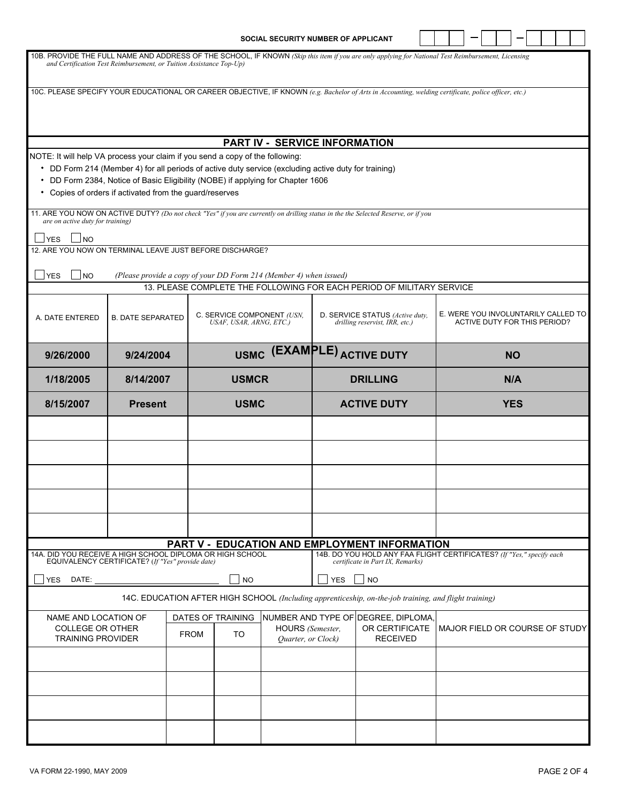|                                                                                                                                                                                                                                                                                                                                     |                                                                     |             |                                                       | SOCIAL SECURITY NUMBER OF APPLICANT    |            |                                                                                                                        |  |  |  |  |  |            |                                     |  |  |  |                                     |  |
|-------------------------------------------------------------------------------------------------------------------------------------------------------------------------------------------------------------------------------------------------------------------------------------------------------------------------------------|---------------------------------------------------------------------|-------------|-------------------------------------------------------|----------------------------------------|------------|------------------------------------------------------------------------------------------------------------------------|--|--|--|--|--|------------|-------------------------------------|--|--|--|-------------------------------------|--|
| 10B. PROVIDE THE FULL NAME AND ADDRESS OF THE SCHOOL, IF KNOWN (Skip this item if you are only applying for National Test Reimbursement, Licensing                                                                                                                                                                                  | and Certification Test Reimbursement, or Tuition Assistance Top-Up) |             |                                                       |                                        |            |                                                                                                                        |  |  |  |  |  |            |                                     |  |  |  |                                     |  |
| 10C. PLEASE SPECIFY YOUR EDUCATIONAL OR CAREER OBJECTIVE, IF KNOWN (e.g. Bachelor of Arts in Accounting, welding certificate, police officer, etc.)                                                                                                                                                                                 |                                                                     |             |                                                       |                                        |            |                                                                                                                        |  |  |  |  |  |            |                                     |  |  |  |                                     |  |
|                                                                                                                                                                                                                                                                                                                                     |                                                                     |             |                                                       |                                        |            |                                                                                                                        |  |  |  |  |  |            |                                     |  |  |  |                                     |  |
|                                                                                                                                                                                                                                                                                                                                     |                                                                     |             |                                                       | <b>PART IV - SERVICE INFORMATION</b>   |            |                                                                                                                        |  |  |  |  |  |            |                                     |  |  |  |                                     |  |
| NOTE: It will help VA process your claim if you send a copy of the following:<br>• DD Form 214 (Member 4) for all periods of active duty service (excluding active duty for training)<br>• DD Form 2384, Notice of Basic Eligibility (NOBE) if applying for Chapter 1606<br>• Copies of orders if activated from the guard/reserves |                                                                     |             |                                                       |                                        |            |                                                                                                                        |  |  |  |  |  |            |                                     |  |  |  |                                     |  |
| 11. ARE YOU NOW ON ACTIVE DUTY? (Do not check "Yes" if you are currently on drilling status in the the Selected Reserve, or if you<br>are on active duty for training)                                                                                                                                                              |                                                                     |             |                                                       |                                        |            |                                                                                                                        |  |  |  |  |  |            |                                     |  |  |  |                                     |  |
| <b>YES</b><br><b>INO</b><br>12. ARE YOU NOW ON TERMINAL LEAVE JUST BEFORE DISCHARGE?                                                                                                                                                                                                                                                |                                                                     |             |                                                       |                                        |            |                                                                                                                        |  |  |  |  |  |            |                                     |  |  |  |                                     |  |
| $\mathsf{\underline{\hspace{1pt}{{\sf YES}}}}$<br><b>NO</b>                                                                                                                                                                                                                                                                         | (Please provide a copy of your DD Form 214 (Member 4) when issued)  |             |                                                       |                                        |            |                                                                                                                        |  |  |  |  |  |            |                                     |  |  |  |                                     |  |
|                                                                                                                                                                                                                                                                                                                                     |                                                                     |             |                                                       |                                        |            | 13. PLEASE COMPLETE THE FOLLOWING FOR EACH PERIOD OF MILITARY SERVICE                                                  |  |  |  |  |  |            |                                     |  |  |  |                                     |  |
| A. DATE ENTERED                                                                                                                                                                                                                                                                                                                     | <b>B. DATE SEPARATED</b>                                            |             | C. SERVICE COMPONENT (USN.<br>USAF, USAR, ARNG, ETC.) |                                        |            | D. SERVICE STATUS (Active duty,<br>drilling reservist, IRR, etc.)                                                      |  |  |  |  |  |            | <b>ACTIVE DUTY FOR THIS PERIOD?</b> |  |  |  | E. WERE YOU INVOLUNTARILY CALLED TO |  |
| 9/26/2000                                                                                                                                                                                                                                                                                                                           | 9/24/2004                                                           |             |                                                       |                                        |            | USMC (EXAMPLE) ACTIVE DUTY                                                                                             |  |  |  |  |  |            | <b>NO</b>                           |  |  |  |                                     |  |
| 1/18/2005                                                                                                                                                                                                                                                                                                                           | 8/14/2007                                                           |             | <b>USMCR</b>                                          |                                        |            | <b>DRILLING</b>                                                                                                        |  |  |  |  |  |            | N/A                                 |  |  |  |                                     |  |
| 8/15/2007                                                                                                                                                                                                                                                                                                                           | <b>Present</b>                                                      |             | <b>USMC</b>                                           |                                        |            | <b>ACTIVE DUTY</b>                                                                                                     |  |  |  |  |  | <b>YES</b> |                                     |  |  |  |                                     |  |
|                                                                                                                                                                                                                                                                                                                                     |                                                                     |             |                                                       |                                        |            |                                                                                                                        |  |  |  |  |  |            |                                     |  |  |  |                                     |  |
|                                                                                                                                                                                                                                                                                                                                     |                                                                     |             |                                                       |                                        |            |                                                                                                                        |  |  |  |  |  |            |                                     |  |  |  |                                     |  |
|                                                                                                                                                                                                                                                                                                                                     |                                                                     |             |                                                       |                                        |            |                                                                                                                        |  |  |  |  |  |            |                                     |  |  |  |                                     |  |
|                                                                                                                                                                                                                                                                                                                                     |                                                                     |             |                                                       |                                        |            |                                                                                                                        |  |  |  |  |  |            |                                     |  |  |  |                                     |  |
|                                                                                                                                                                                                                                                                                                                                     |                                                                     |             |                                                       |                                        |            |                                                                                                                        |  |  |  |  |  |            |                                     |  |  |  |                                     |  |
| 14A. DID YOU RECEIVE A HIGH SCHOOL DIPLOMA OR HIGH SCHOOL                                                                                                                                                                                                                                                                           |                                                                     |             |                                                       |                                        |            | PART V - EDUCATION AND EMPLOYMENT INFORMATION<br>14B. DO YOU HOLD ANY FAA FLIGHT CERTIFICATES? (If "Yes," specify each |  |  |  |  |  |            |                                     |  |  |  |                                     |  |
|                                                                                                                                                                                                                                                                                                                                     | EQUIVALENCY CERTIFICATE? (If "Yes" provide date)                    |             |                                                       |                                        |            | certificate in Part IX, Remarks)                                                                                       |  |  |  |  |  |            |                                     |  |  |  |                                     |  |
| <b>YES</b><br>DATE:                                                                                                                                                                                                                                                                                                                 |                                                                     |             | <b>NO</b>                                             |                                        | <b>YES</b> | <b>NO</b>                                                                                                              |  |  |  |  |  |            |                                     |  |  |  |                                     |  |
|                                                                                                                                                                                                                                                                                                                                     |                                                                     |             |                                                       |                                        |            | 14C. EDUCATION AFTER HIGH SCHOOL (Including apprenticeship, on-the-job training, and flight training)                  |  |  |  |  |  |            |                                     |  |  |  |                                     |  |
| NAME AND LOCATION OF<br><b>COLLEGE OR OTHER</b><br><b>TRAINING PROVIDER</b>                                                                                                                                                                                                                                                         |                                                                     | <b>FROM</b> | DATES OF TRAINING<br>TO                               | HOURS (Semester,<br>Quarter, or Clock) |            | NUMBER AND TYPE OF DEGREE, DIPLOMA,<br>OR CERTIFICATE<br><b>RECEIVED</b>                                               |  |  |  |  |  |            |                                     |  |  |  | MAJOR FIELD OR COURSE OF STUDY      |  |
|                                                                                                                                                                                                                                                                                                                                     |                                                                     |             |                                                       |                                        |            |                                                                                                                        |  |  |  |  |  |            |                                     |  |  |  |                                     |  |
|                                                                                                                                                                                                                                                                                                                                     |                                                                     |             |                                                       |                                        |            |                                                                                                                        |  |  |  |  |  |            |                                     |  |  |  |                                     |  |
|                                                                                                                                                                                                                                                                                                                                     |                                                                     |             |                                                       |                                        |            |                                                                                                                        |  |  |  |  |  |            |                                     |  |  |  |                                     |  |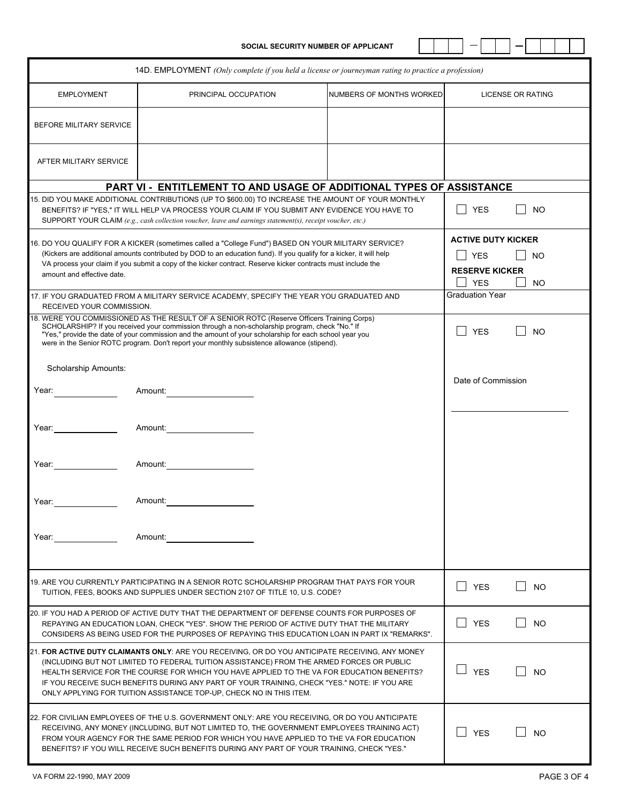**SOCIAL SECURITY NUMBER OF APPLICANT**

|--|--|--|--|

|                            |                                                                                                                                                                                                                                                                                                                                                                                                                                                                    | 14D. EMPLOYMENT (Only complete if you held a license or journeyman rating to practice a profession) |                                     |                          |
|----------------------------|--------------------------------------------------------------------------------------------------------------------------------------------------------------------------------------------------------------------------------------------------------------------------------------------------------------------------------------------------------------------------------------------------------------------------------------------------------------------|-----------------------------------------------------------------------------------------------------|-------------------------------------|--------------------------|
| <b>EMPLOYMENT</b>          | PRINCIPAL OCCUPATION                                                                                                                                                                                                                                                                                                                                                                                                                                               | NUMBERS OF MONTHS WORKED                                                                            |                                     | <b>LICENSE OR RATING</b> |
| BEFORE MILITARY SERVICE    |                                                                                                                                                                                                                                                                                                                                                                                                                                                                    |                                                                                                     |                                     |                          |
| AFTER MILITARY SERVICE     |                                                                                                                                                                                                                                                                                                                                                                                                                                                                    |                                                                                                     |                                     |                          |
|                            |                                                                                                                                                                                                                                                                                                                                                                                                                                                                    | PART VI - ENTITLEMENT TO AND USAGE OF ADDITIONAL TYPES OF ASSISTANCE                                |                                     |                          |
|                            | 15. DID YOU MAKE ADDITIONAL CONTRIBUTIONS (UP TO \$600.00) TO INCREASE THE AMOUNT OF YOUR MONTHLY<br>BENEFITS? IF "YES," IT WILL HELP VA PROCESS YOUR CLAIM IF YOU SUBMIT ANY EVIDENCE YOU HAVE TO<br>SUPPORT YOUR CLAIM (e.g., cash collection voucher, leave and earnings statement(s), receipt voucher, etc.)                                                                                                                                                   |                                                                                                     | <b>YES</b>                          | <b>NO</b>                |
|                            | 16. DO YOU QUALIFY FOR A KICKER (sometimes called a "College Fund") BASED ON YOUR MILITARY SERVICE?                                                                                                                                                                                                                                                                                                                                                                |                                                                                                     | <b>ACTIVE DUTY KICKER</b>           |                          |
|                            | (Kickers are additional amounts contributed by DOD to an education fund). If you qualify for a kicker, it will help<br>VA process your claim if you submit a copy of the kicker contract. Reserve kicker contracts must include the                                                                                                                                                                                                                                |                                                                                                     | <b>YES</b><br><b>RESERVE KICKER</b> | NO                       |
| amount and effective date. |                                                                                                                                                                                                                                                                                                                                                                                                                                                                    |                                                                                                     | <b>YES</b>                          | <b>NO</b>                |
| RECEIVED YOUR COMMISSION.  | 17. IF YOU GRADUATED FROM A MILITARY SERVICE ACADEMY, SPECIFY THE YEAR YOU GRADUATED AND                                                                                                                                                                                                                                                                                                                                                                           |                                                                                                     | <b>Graduation Year</b>              |                          |
|                            | 18. WERE YOU COMMISSIONED AS THE RESULT OF A SENIOR ROTC (Reserve Officers Training Corps)<br>SCHOLARSHIP? If you received your commission through a non-scholarship program, check "No." If<br>"Yes," provide the date of your commission and the amount of your scholarship for each school year you<br>were in the Senior ROTC program. Don't report your monthly subsistence allowance (stipend).                                                              |                                                                                                     | <b>YES</b>                          | N <sub>O</sub>           |
| Scholarship Amounts:       |                                                                                                                                                                                                                                                                                                                                                                                                                                                                    |                                                                                                     | Date of Commission                  |                          |
| Year:                      | Amount:                                                                                                                                                                                                                                                                                                                                                                                                                                                            |                                                                                                     |                                     |                          |
| Year:                      | Amount:                                                                                                                                                                                                                                                                                                                                                                                                                                                            |                                                                                                     |                                     |                          |
| Year:                      | Amount:                                                                                                                                                                                                                                                                                                                                                                                                                                                            |                                                                                                     |                                     |                          |
| Year:                      | Amount:                                                                                                                                                                                                                                                                                                                                                                                                                                                            |                                                                                                     |                                     |                          |
| Year:                      | Amount:                                                                                                                                                                                                                                                                                                                                                                                                                                                            |                                                                                                     |                                     |                          |
|                            | 19. ARE YOU CURRENTLY PARTICIPATING IN A SENIOR ROTC SCHOLARSHIP PROGRAM THAT PAYS FOR YOUR<br>TUITION, FEES, BOOKS AND SUPPLIES UNDER SECTION 2107 OF TITLE 10, U.S. CODE?                                                                                                                                                                                                                                                                                        |                                                                                                     | <b>YES</b>                          | <b>NO</b>                |
|                            | 20. IF YOU HAD A PERIOD OF ACTIVE DUTY THAT THE DEPARTMENT OF DEFENSE COUNTS FOR PURPOSES OF<br>REPAYING AN EDUCATION LOAN, CHECK "YES". SHOW THE PERIOD OF ACTIVE DUTY THAT THE MILITARY<br>CONSIDERS AS BEING USED FOR THE PURPOSES OF REPAYING THIS EDUCATION LOAN IN PART IX "REMARKS".                                                                                                                                                                        |                                                                                                     | l I YES                             | <b>NO</b>                |
|                            | 21. FOR ACTIVE DUTY CLAIMANTS ONLY: ARE YOU RECEIVING, OR DO YOU ANTICIPATE RECEIVING, ANY MONEY<br>(INCLUDING BUT NOT LIMITED TO FEDERAL TUITION ASSISTANCE) FROM THE ARMED FORCES OR PUBLIC<br>HEALTH SERVICE FOR THE COURSE FOR WHICH YOU HAVE APPLIED TO THE VA FOR EDUCATION BENEFITS?<br>IF YOU RECEIVE SUCH BENEFITS DURING ANY PART OF YOUR TRAINING, CHECK "YES." NOTE: IF YOU ARE<br>ONLY APPLYING FOR TUITION ASSISTANCE TOP-UP, CHECK NO IN THIS ITEM. |                                                                                                     | <b>YES</b>                          | NO                       |
|                            | 22. FOR CIVILIAN EMPLOYEES OF THE U.S. GOVERNMENT ONLY: ARE YOU RECEIVING, OR DO YOU ANTICIPATE<br>RECEIVING, ANY MONEY (INCLUDING, BUT NOT LIMITED TO, THE GOVERNMENT EMPLOYEES TRAINING ACT)<br>FROM YOUR AGENCY FOR THE SAME PERIOD FOR WHICH YOU HAVE APPLIED TO THE VA FOR EDUCATION<br>BENEFITS? IF YOU WILL RECEIVE SUCH BENEFITS DURING ANY PART OF YOUR TRAINING, CHECK "YES."                                                                            |                                                                                                     | <b>YES</b>                          | N <sub>O</sub>           |